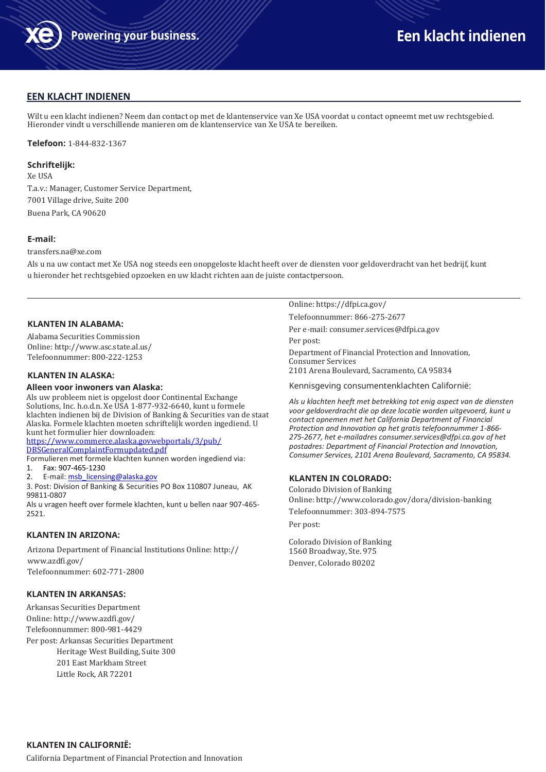

# **EEN KLACHT INDIENEN**

Wilt u een klacht indienen? Neem dan contact op met de klantenservice van Xe USA voordat u contact opneemt met uw rechtsgebied. Hieronder vindt u verschillende manieren om de klantenservice van Xe USA te bereiken.

**Telefoon:** 1-844-832-1367

#### **Schriftelijk:**

Xe USA T.a.v.: Manager, Customer Service Department, 7001 Village drive, Suite 200 Buena Park, CA 90620

### **E-mail:**

[transfers.na@xe.com](mailto:transfers.na@xe.com)

Als u na uw contact met Xe USA nog steeds een onopgeloste klacht heeft over de diensten voor geldoverdracht van het bedrijf, kunt u hieronder het rechtsgebied opzoeken en uw klacht richten aan de juiste contactpersoon.

# **KLANTEN IN ALABAMA:**

Alabama Securities Commission Online[: http://www.asc.state.al.us/](http://www.asc.state.al.us/) Telefoonnummer: 800-222-1253

# **KLANTEN IN ALASKA:**

#### **Alleen voor inwoners van Alaska:**

Als uw probleem niet is opgelost door Continental Exchange Solutions, Inc. h.o.d.n. Xe USA 1-877-932-6640, kunt u formele klachten indienen bij de Division of Banking & Securities van de staat Alaska. Formele klachten moeten schriftelijk worden ingediend. U kunt het formulier hier downloaden:

[https://www.commerce.alaska.govwebportals/3/pub/](https://www.commerce.alaska.gov/web/portals/3/pub/DBSGeneralComplaintFormupdated.pdf) [DBSGeneralComplaintFormupdated.pdf](https://www.commerce.alaska.gov/web/portals/3/pub/DBSGeneralComplaintFormupdated.pdf)

Formulieren met formele klachten kunnen worden ingediend via: 1. Fax: 907-465-1230

2. E-mail: msb licensing@alaska.gov

3. Post: Division of Banking & Securities PO Box 110807 Juneau, AK 99811-0807

Als u vragen heeft over formele klachten, kunt u bellen naar 907-465- 2521.

# **KLANTEN IN ARIZONA:**

Arizona Department of Financial Institutions Online: http:// [www.azdfi.gov/](http://www.azdfi.gov/) Telefoonnummer: 602-771-2800

#### **KLANTEN IN ARKANSAS:**

Arkansas Securities Department Online[: http://www.azdfi.gov/](http://www.azdfi.gov/) Telefoonnummer: 800-981-4429 Per post: Arkansas Securities Department Heritage West Building, Suite 300 201 East Markham Street Little Rock, AR 72201

Online: https://dfpi.ca.gov/

Telefoonnummer: 866-275-2677

Per e-mail[: consumer.services@dfpi.ca.gov](mailto:consumer.services@dfpi.ca.gov) Per post:

Department of Financial Protection and Innovation, Consumer Services 2101 Arena Boulevard, Sacramento, CA 95834

Kennisgeving consumentenklachten Californië:

*Als u klachten heeft met betrekking tot enig aspect van de diensten voor geldoverdracht die op deze locatie worden uitgevoerd, kunt u contact opnemen met het California Department of Financial Protection and Innovation op het gratis telefoonnummer 1-866- 275-2677, het e-mailadre[s consumer.services@dfpi.ca.gov](mailto:consumer.services@dfpi.ca.gov) of het postadres: Department of Financial Protection and Innovation, Consumer Services, 2101 Arena Boulevard, Sacramento, CA 95834.*

# **KLANTEN IN COLORADO:**

Colorado Division of Banking Online[: http://www.colorado.gov/dora/division-banking](http://www.colorado.gov/dora/division-banking) Telefoonnummer: 303-894-7575 Per post:

Colorado Division of Banking 1560 Broadway, Ste. 975 Denver, Colorado 80202

California Department of Financial Protection and Innovation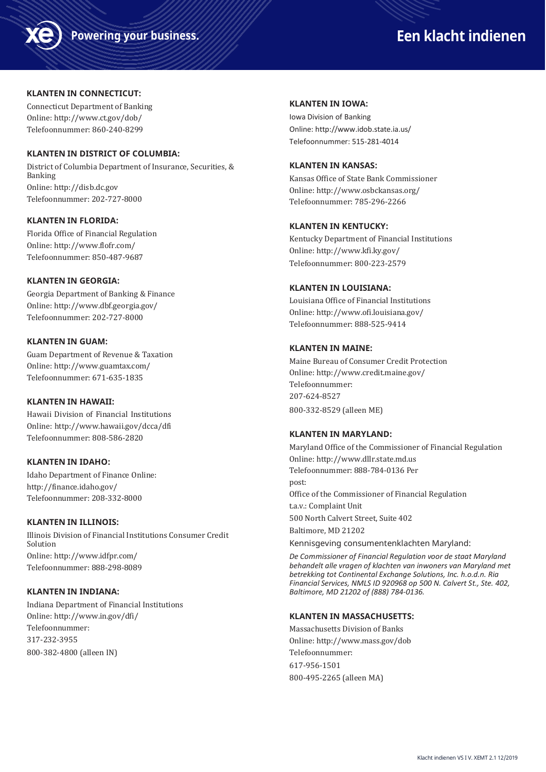

# **Powering your business. A Service Contract of the Een klacht indienen**

# **KLANTEN IN CONNECTICUT:**

Connecticut Department of Banking Online[: http://www.ct.gov/dob/](http://www.ct.gov/dob/) Telefoonnummer: 860-240-8299

# **KLANTEN IN DISTRICT OF COLUMBIA:**

District of Columbia Department of Insurance, Securities, & Banking Online[: http://disb.dc.gov](http://disb.dc.gov/) Telefoonnummer: 202-727-8000

# **KLANTEN IN FLORIDA:**

Florida Office of Financial Regulation Online[: http://www.flofr.com/](http://www.flofr.com/) Telefoonnummer: 850-487-9687

## **KLANTEN IN GEORGIA:**

Georgia Department of Banking & Finance Online[: http://www.dbf.georgia.gov/](http://www.dbf.georgia.gov/) Telefoonnummer: 202-727-8000

# **KLANTEN IN GUAM:**

Guam Department of Revenue & Taxation Online[: http://www.guamtax.com/](http://www.guamtax.com/) Telefoonnummer: 671-635-1835

# **KLANTEN IN HAWAII:**

Hawaii Division of Financial Institutions Online[: http://www.hawaii.gov/dcca/dfi](http://www.hawaii.gov/dcca/dfi) Telefoonnummer: 808-586-2820

# **KLANTEN IN IDAHO:**

Idaho Department of Finance Online: <http://finance.idaho.gov/> Telefoonnummer: 208-332-8000

# **KLANTEN IN ILLINOIS:**

Illinois Division of Financial Institutions Consumer Credit Solution Online[: http://www.idfpr.com/](http://www.idfpr.com/) Telefoonnummer: 888-298-8089

# **KLANTEN IN INDIANA:**

Indiana Department of Financial Institutions Online[: http://www.in.gov/dfi/](http://www.in.gov/dfi/) Telefoonnummer: 317-232-3955 800-382-4800 (alleen IN)

### **KLANTEN IN IOWA:**

Iowa Division of Banking Online[: http://www.idob.state.ia.us/](http://www.idob.state.ia.us/) Telefoonnummer: 515-281-4014

# **KLANTEN IN KANSAS:**

Kansas Office of State Bank Commissioner Online[: http://www.osbckansas.org/](http://www.osbckansas.org/) Telefoonnummer: 785-296-2266

# **KLANTEN IN KENTUCKY:**

Kentucky Department of Financial Institutions Online[: http://www.kfi.ky.gov/](http://www.kfi.ky.gov/) Telefoonnummer: 800-223-2579

# **KLANTEN IN LOUISIANA:**

Louisiana Office of Financial Institutions Online[: http://www.ofi.louisiana.gov/](http://www.ofi.louisiana.gov/) Telefoonnummer: 888-525-9414

# **KLANTEN IN MAINE:**

Maine Bureau of Consumer Credit Protection Online[: http://www.credit.maine.gov/](http://www.credit.maine.gov/) Telefoonnummer: 207-624-8527 800-332-8529 (alleen ME)

# **KLANTEN IN MARYLAND:**

Maryland Office of the Commissioner of Financial Regulation Online[: http://www.dllr.state.md.us](http://www.dllr.state.md.us/) Telefoonnummer: 888-784-0136 Per post: Office of the Commissioner of Financial Regulation t.a.v.: Complaint Unit 500 North Calvert Street, Suite 402 Baltimore, MD 21202 Kennisgeving consumentenklachten Maryland:

*De Commissioner of Financial Regulation voor de staat Maryland behandelt alle vragen of klachten van inwoners van Maryland met betrekking tot Continental Exchange Solutions, Inc. h.o.d.n. Ria Financial Services, NMLS ID 920968 op 500 N. Calvert St., Ste. 402, Baltimore, MD 21202 of (888) 784-0136.*

# **KLANTEN IN MASSACHUSETTS:**

Massachusetts Division of Banks Online[: http://www.mass.gov/dob](http://www.mass.gov/dob) Telefoonnummer: 617-956-1501 800-495-2265 (alleen MA)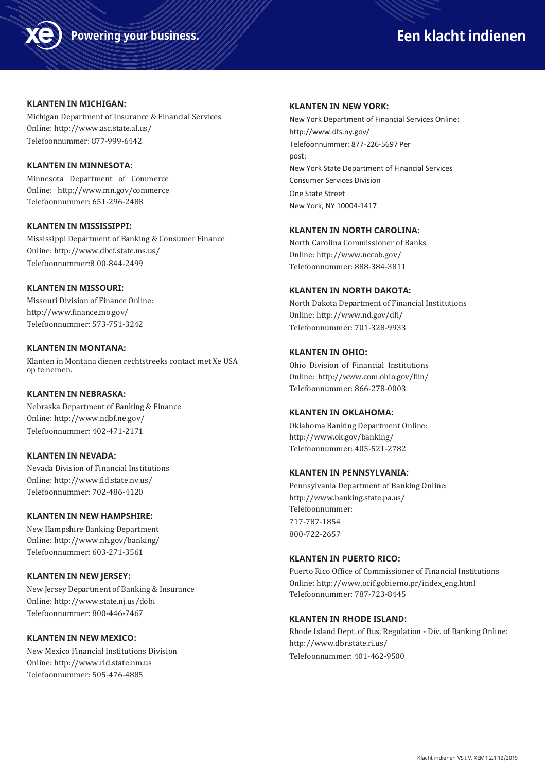



#### **KLANTEN IN MICHIGAN:**

Michigan Department of Insurance & Financial Services Online[: http://www.asc.state.al.us/](http://www.asc.state.al.us/) Telefoonnummer: 877-999-6442

# **KLANTEN IN MINNESOTA:**

Minnesota Department of Commerce Online: <http://www.mn.gov/commerce> Telefoonnummer: 651-296-2488

# **KLANTEN IN MISSISSIPPI:**

Mississippi Department of Banking & Consumer Finance Online[: http://www.dbcf.state.ms.us/](http://www.dbcf.state.ms.us/) Telefoonnummer:8 00-844-2499

## **KLANTEN IN MISSOURI:**

Missouri Division of Finance Online: <http://www.finance.mo.gov/> Telefoonnummer: 573-751-3242

### **KLANTEN IN MONTANA:**

Klanten in Montana dienen rechtstreeks contact met Xe USA op te nemen.

#### **KLANTEN IN NEBRASKA:**

Nebraska Department of Banking & Finance Online[: http://www.ndbf.ne.gov/](http://www.ndbf.ne.gov/) Telefoonnummer: 402-471-2171

## **KLANTEN IN NEVADA:**

Nevada Division of Financial Institutions Online[: http://www.fid.state.nv.us/](http://www.fid.state.nv.us/) Telefoonnummer: 702-486-4120

# **KLANTEN IN NEW HAMPSHIRE:**

New Hampshire Banking Department Online[: http://www.nh.gov/banking/](http://www.nh.gov/banking/) Telefoonnummer: 603-271-3561

#### **KLANTEN IN NEW JERSEY:**

New Jersey Department of Banking & Insurance Online[: http://www.state.nj.us/dobi](http://www.state.nj.us/dobi) Telefoonnummer: 800-446-7467

#### **KLANTEN IN NEW MEXICO:**

New Mexico Financial Institutions Division Online[: http://www.rld.state.nm.us](http://www.rld.state.nm.us/) Telefoonnummer: 505-476-4885

## **KLANTEN IN NEW YORK:**

New York Department of Financial Services Online: <http://www.dfs.ny.gov/> Telefoonnummer: 877-226-5697 Per post: New York State Department of Financial Services Consumer Services Division One State Street New York, NY 10004-1417

## **KLANTEN IN NORTH CAROLINA:**

North Carolina Commissioner of Banks Online[: http://www.nccob.gov/](http://www.nccob.gov/) Telefoonnummer: 888-384-3811

#### **KLANTEN IN NORTH DAKOTA:**

North Dakota Department of Financial Institutions Online[: http://www.nd.gov/dfi/](http://www.nd.gov/dfi/) Telefoonnummer: 701-328-9933

#### **KLANTEN IN OHIO:**

Ohio Division of Financial Institutions Online:<http://www.com.ohio.gov/fiin/> Telefoonnummer: 866-278-0003

# **KLANTEN IN OKLAHOMA:**

Oklahoma Banking Department Online: <http://www.ok.gov/banking/> Telefoonnummer: 405-521-2782

#### **KLANTEN IN PENNSYLVANIA:**

Pennsylvania Department of Banking Online: <http://www.banking.state.pa.us/> Telefoonnummer: 717-787-1854 800-722-2657

#### **KLANTEN IN PUERTO RICO:**

Puerto Rico Office of Commissioner of Financial Institutions Online[: http://www.ocif.gobierno.pr/index\\_eng.html](http://www.ocif.gobierno.pr/index_eng.html) Telefoonnummer: 787-723-8445

# **KLANTEN IN RHODE ISLAND:**

Rhode Island Dept. of Bus. Regulation - Div. of Banking Online: <http://www.dbr.state.ri.us/> Telefoonnummer: 401-462-9500